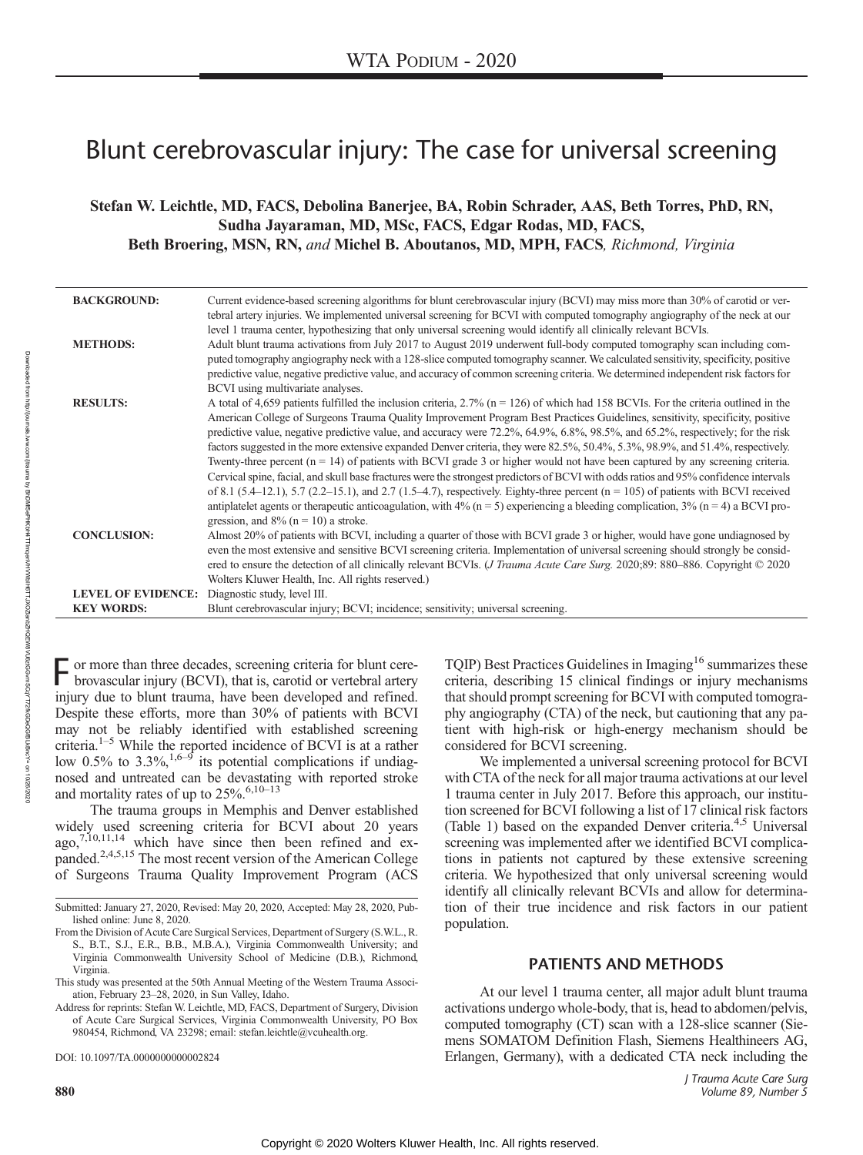# Blunt cerebrovascular injury: The case for universal screening

Stefan W. Leichtle, MD, FACS, Debolina Banerjee, BA, Robin Schrader, AAS, Beth Torres, PhD, RN, Sudha Jayaraman, MD, MSc, FACS, Edgar Rodas, MD, FACS, Beth Broering, MSN, RN, and Michel B. Aboutanos, MD, MPH, FACS, Richmond, Virginia

| <b>BACKGROUND:</b>        | Current evidence-based screening algorithms for blunt cerebrovascular injury (BCVI) may miss more than 30% of carotid or ver-<br>tebral artery injuries. We implemented universal screening for BCVI with computed tomography angiography of the neck at our<br>level 1 trauma center, hypothesizing that only universal screening would identify all clinically relevant BCVIs.                                                                                                                                                                                                                                                                                                                                                                                                                                                                                                                                                                                                                                                                                                                             |
|---------------------------|--------------------------------------------------------------------------------------------------------------------------------------------------------------------------------------------------------------------------------------------------------------------------------------------------------------------------------------------------------------------------------------------------------------------------------------------------------------------------------------------------------------------------------------------------------------------------------------------------------------------------------------------------------------------------------------------------------------------------------------------------------------------------------------------------------------------------------------------------------------------------------------------------------------------------------------------------------------------------------------------------------------------------------------------------------------------------------------------------------------|
| <b>METHODS:</b>           | Adult blunt trauma activations from July 2017 to August 2019 underwent full-body computed tomography scan including com-<br>puted tomography angiography neck with a 128-slice computed tomography scanner. We calculated sensitivity, specificity, positive<br>predictive value, negative predictive value, and accuracy of common screening criteria. We determined independent risk factors for<br>BCVI using multivariate analyses.                                                                                                                                                                                                                                                                                                                                                                                                                                                                                                                                                                                                                                                                      |
| <b>RESULTS:</b>           | A total of 4,659 patients fulfilled the inclusion criteria, 2.7% ( $n = 126$ ) of which had 158 BCVIs. For the criteria outlined in the<br>American College of Surgeons Trauma Quality Improvement Program Best Practices Guidelines, sensitivity, specificity, positive<br>predictive value, negative predictive value, and accuracy were 72.2%, 64.9%, 6.8%, 98.5%, and 65.2%, respectively; for the risk<br>factors suggested in the more extensive expanded Denver criteria, they were 82.5%, 50.4%, 5.3%, 98.9%, and 51.4%, respectively.<br>Twenty-three percent $(n = 14)$ of patients with BCVI grade 3 or higher would not have been captured by any screening criteria.<br>Cervical spine, facial, and skull base fractures were the strongest predictors of BCVI with odds ratios and 95% confidence intervals<br>of 8.1 (5.4–12.1), 5.7 (2.2–15.1), and 2.7 (1.5–4.7), respectively. Eighty-three percent $(n = 105)$ of patients with BCVI received<br>antiplatelet agents or therapeutic anticoagulation, with 4% ( $n = 5$ ) experiencing a bleeding complication, 3% ( $n = 4$ ) a BCVI pro- |
| <b>CONCLUSION:</b>        | gression, and $8\%$ (n = 10) a stroke.<br>Almost 20% of patients with BCVI, including a quarter of those with BCVI grade 3 or higher, would have gone undiagnosed by<br>even the most extensive and sensitive BCVI screening criteria. Implementation of universal screening should strongly be consid-<br>ered to ensure the detection of all clinically relevant BCVIs. ( <i>J Trauma Acute Care Surg.</i> 2020;89: 880–886. Copyright © 2020<br>Wolters Kluwer Health, Inc. All rights reserved.)                                                                                                                                                                                                                                                                                                                                                                                                                                                                                                                                                                                                         |
| <b>LEVEL OF EVIDENCE:</b> | Diagnostic study, level III.                                                                                                                                                                                                                                                                                                                                                                                                                                                                                                                                                                                                                                                                                                                                                                                                                                                                                                                                                                                                                                                                                 |
| <b>KEY WORDS:</b>         | Blunt cerebrovascular injury; BCVI; incidence; sensitivity; universal screening.                                                                                                                                                                                                                                                                                                                                                                                                                                                                                                                                                                                                                                                                                                                                                                                                                                                                                                                                                                                                                             |

F or more than three decades, screening criteria for blunt cerebrovascular injury (BCVI), that is, carotid or vertebral artery injury due to blunt trauma, have been developed and refined. Despite these efforts, more than 30% of patients with BCVI may not be reliably identified with established screening criteria.1–<sup>5</sup> While the reported incidence of BCVI is at a rather low  $0.5\%$  to  $3.3\%$ ,<sup>1,6–9</sup> its potential complications if undiagnosed and untreated can be devastating with reported stroke and mortality rates of up to  $25\%$ .<sup>6,10–13</sup>

The trauma groups in Memphis and Denver established widely used screening criteria for BCVI about 20 years  $a\alpha$ <sup>7,10,11,14</sup> which have since then been refined and expanded.2,4,5,15 The most recent version of the American College of Surgeons Trauma Quality Improvement Program (ACS

Address for reprints: Stefan W. Leichtle, MD, FACS, Department of Surgery, Division of Acute Care Surgical Services, Virginia Commonwealth University, PO Box 980454, Richmond, VA 23298; email: stefan.leichtle@vcuhealth.org.

DOI: 10.1097/TA.0000000000002824

Downloaded from

http://journals.lww.com/jtrauma

g

BhDMf5ePHKbH4TTImqenVHVWbIH6TTJXOZlanbZHQEW8VU6ztGGvmSCqYT72fkGDeQGfBLkBncY=

on 10/26/2020 TQIP) Best Practices Guidelines in Imaging<sup>16</sup> summarizes these criteria, describing 15 clinical findings or injury mechanisms that should prompt screening for BCVI with computed tomography angiography (CTA) of the neck, but cautioning that any patient with high-risk or high-energy mechanism should be considered for BCVI screening.

We implemented a universal screening protocol for BCVI with CTA of the neck for all major trauma activations at our level 1 trauma center in July 2017. Before this approach, our institution screened for BCVI following a list of 17 clinical risk factors (Table 1) based on the expanded Denver criteria.<sup>4,5</sup> Universal screening was implemented after we identified BCVI complications in patients not captured by these extensive screening criteria. We hypothesized that only universal screening would identify all clinically relevant BCVIs and allow for determination of their true incidence and risk factors in our patient population.

At our level 1 trauma center, all major adult blunt trauma activations undergo whole-body, that is, head to abdomen/pelvis, computed tomography (CT) scan with a 128-slice scanner (Siemens SOMATOM Definition Flash, Siemens Healthineers AG, Erlangen, Germany), with a dedicated CTA neck including the

Submitted: January 27, 2020, Revised: May 20, 2020, Accepted: May 28, 2020, Published online: June 8, 2020.

From the Division of Acute Care Surgical Services, Department of Surgery (S.W.L., R. S., B.T., S.J., E.R., B.B., M.B.A.), Virginia Commonwealth University; and Virginia Commonwealth University School of Medicine (D.B.), Richmond, Virginia.

This study was presented at the 50th Annual Meeting of the Western Trauma Association, February 23–28, 2020, in Sun Valley, Idaho.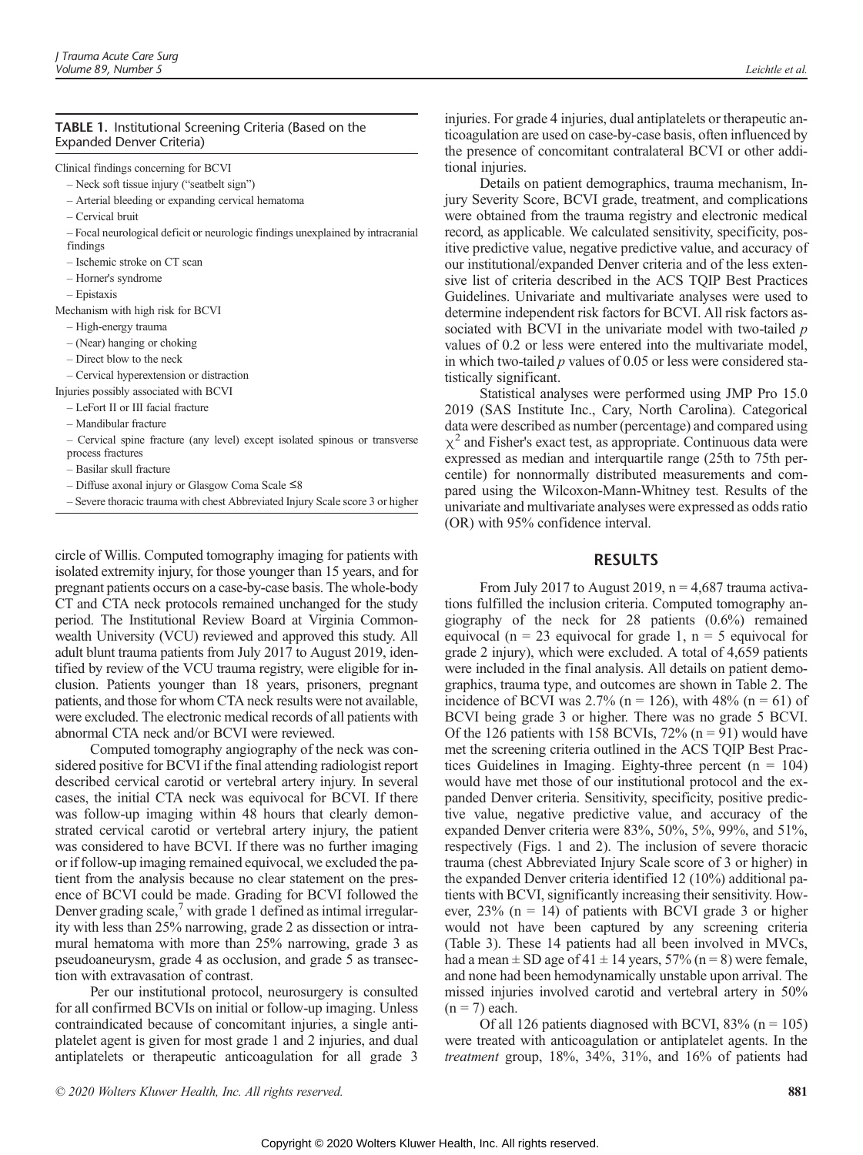### TABLE 1. Institutional Screening Criteria (Based on the Expanded Denver Criteria)

Clinical findings concerning for BCVI

– Neck soft tissue injury ("seatbelt sign")

- Arterial bleeding or expanding cervical hematoma
- Cervical bruit
- Focal neurological deficit or neurologic findings unexplained by intracranial findings
- Ischemic stroke on CT scan
- Horner's syndrome
- Epistaxis

Mechanism with high risk for BCVI

- High-energy trauma
- (Near) hanging or choking
- Direct blow to the neck

– Cervical hyperextension or distraction

Injuries possibly associated with BCVI

– LeFort II or III facial fracture

– Mandibular fracture

– Cervical spine fracture (any level) except isolated spinous or transverse process fractures

– Basilar skull fracture

– Diffuse axonal injury or Glasgow Coma Scale ≤8

– Severe thoracic trauma with chest Abbreviated Injury Scale score 3 or higher

circle of Willis. Computed tomography imaging for patients with isolated extremity injury, for those younger than 15 years, and for pregnant patients occurs on a case-by-case basis. The whole-body CT and CTA neck protocols remained unchanged for the study period. The Institutional Review Board at Virginia Commonwealth University (VCU) reviewed and approved this study. All adult blunt trauma patients from July 2017 to August 2019, identified by review of the VCU trauma registry, were eligible for inclusion. Patients younger than 18 years, prisoners, pregnant patients, and those for whom CTA neck results were not available, were excluded. The electronic medical records of all patients with abnormal CTA neck and/or BCVI were reviewed.

Computed tomography angiography of the neck was considered positive for BCVI if the final attending radiologist report described cervical carotid or vertebral artery injury. In several cases, the initial CTA neck was equivocal for BCVI. If there was follow-up imaging within 48 hours that clearly demonstrated cervical carotid or vertebral artery injury, the patient was considered to have BCVI. If there was no further imaging or if follow-up imaging remained equivocal, we excluded the patient from the analysis because no clear statement on the presence of BCVI could be made. Grading for BCVI followed the Denver grading scale, $\prime$  with grade 1 defined as intimal irregularity with less than 25% narrowing, grade 2 as dissection or intramural hematoma with more than 25% narrowing, grade 3 as pseudoaneurysm, grade 4 as occlusion, and grade 5 as transection with extravasation of contrast.

Per our institutional protocol, neurosurgery is consulted for all confirmed BCVIs on initial or follow-up imaging. Unless contraindicated because of concomitant injuries, a single antiplatelet agent is given for most grade 1 and 2 injuries, and dual antiplatelets or therapeutic anticoagulation for all grade 3

injuries. For grade 4 injuries, dual antiplatelets or therapeutic anticoagulation are used on case-by-case basis, often influenced by the presence of concomitant contralateral BCVI or other additional injuries.

Details on patient demographics, trauma mechanism, Injury Severity Score, BCVI grade, treatment, and complications were obtained from the trauma registry and electronic medical record, as applicable. We calculated sensitivity, specificity, positive predictive value, negative predictive value, and accuracy of our institutional/expanded Denver criteria and of the less extensive list of criteria described in the ACS TQIP Best Practices Guidelines. Univariate and multivariate analyses were used to determine independent risk factors for BCVI. All risk factors associated with BCVI in the univariate model with two-tailed p values of 0.2 or less were entered into the multivariate model, in which two-tailed  $p$  values of 0.05 or less were considered statistically significant.

Statistical analyses were performed using JMP Pro 15.0 2019 (SAS Institute Inc., Cary, North Carolina). Categorical data were described as number (percentage) and compared using  $\chi^2$  and Fisher's exact test, as appropriate. Continuous data were expressed as median and interquartile range (25th to 75th percentile) for nonnormally distributed measurements and compared using the Wilcoxon-Mann-Whitney test. Results of the univariate and multivariate analyses were expressed as odds ratio (OR) with 95% confidence interval.

From July 2017 to August 2019,  $n = 4.687$  trauma activations fulfilled the inclusion criteria. Computed tomography angiography of the neck for 28 patients (0.6%) remained equivocal ( $n = 23$  equivocal for grade 1,  $n = 5$  equivocal for grade 2 injury), which were excluded. A total of 4,659 patients were included in the final analysis. All details on patient demographics, trauma type, and outcomes are shown in Table 2. The incidence of BCVI was 2.7% ( $n = 126$ ), with 48% ( $n = 61$ ) of BCVI being grade 3 or higher. There was no grade 5 BCVI. Of the 126 patients with 158 BCVIs,  $72\%$  (n = 91) would have met the screening criteria outlined in the ACS TQIP Best Practices Guidelines in Imaging. Eighty-three percent  $(n = 104)$ would have met those of our institutional protocol and the expanded Denver criteria. Sensitivity, specificity, positive predictive value, negative predictive value, and accuracy of the expanded Denver criteria were 83%, 50%, 5%, 99%, and 51%, respectively (Figs. 1 and 2). The inclusion of severe thoracic trauma (chest Abbreviated Injury Scale score of 3 or higher) in the expanded Denver criteria identified 12 (10%) additional patients with BCVI, significantly increasing their sensitivity. However,  $23\%$  (n = 14) of patients with BCVI grade 3 or higher would not have been captured by any screening criteria (Table 3). These 14 patients had all been involved in MVCs, had a mean  $\pm$  SD age of 41  $\pm$  14 years, 57% (n = 8) were female, and none had been hemodynamically unstable upon arrival. The missed injuries involved carotid and vertebral artery in 50%  $(n = 7)$  each.

Of all 126 patients diagnosed with BCVI,  $83\%$  (n = 105) were treated with anticoagulation or antiplatelet agents. In the treatment group, 18%, 34%, 31%, and 16% of patients had

© 2020 Wolters Kluwer Health, Inc. All rights reserved. 881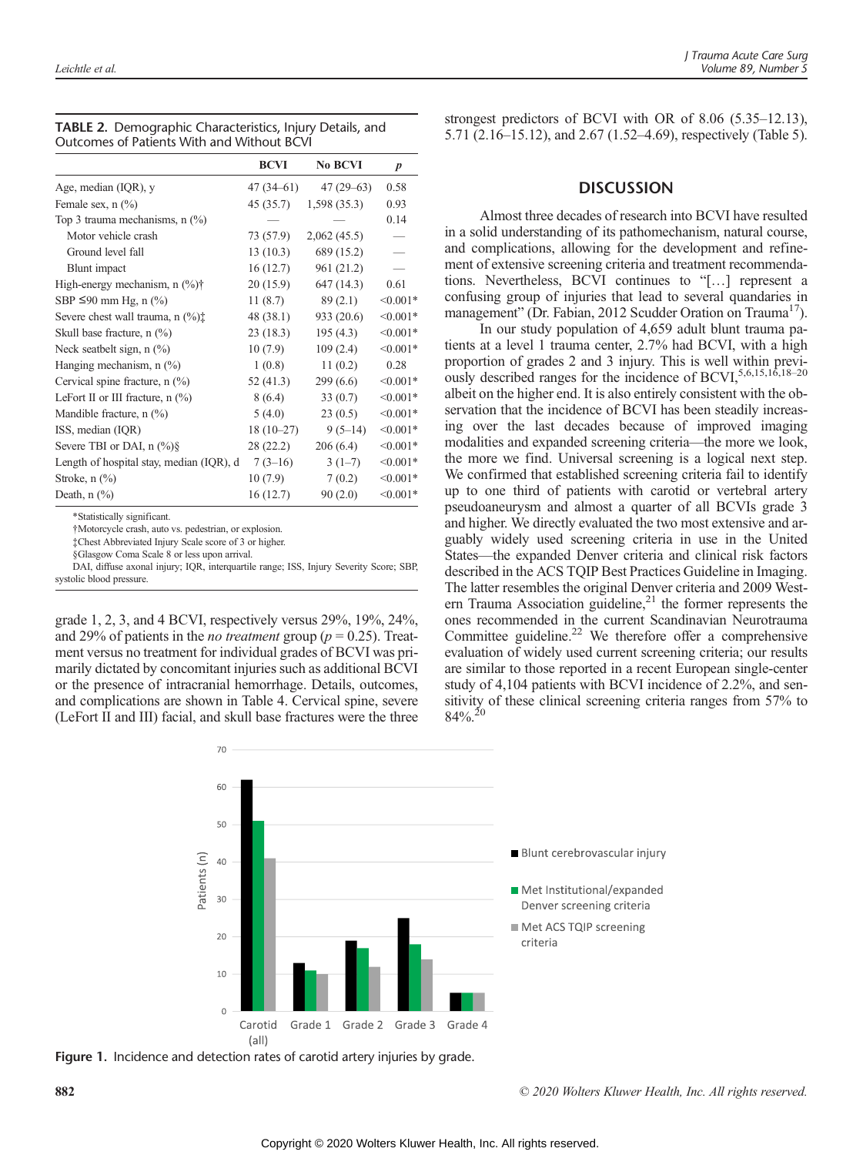|                                              | <b>BCVI</b> | <b>No BCVI</b> | $\boldsymbol{p}$ |
|----------------------------------------------|-------------|----------------|------------------|
| Age, median (IQR), y                         | 47 (34–61)  | $47(29-63)$    | 0.58             |
| Female sex, $n$ $\left(\frac{0}{0}\right)$   | 45 (35.7)   | 1,598(35.3)    | 0.93             |
| Top 3 trauma mechanisms, $n$ $(\%)$          |             |                | 0.14             |
| Motor vehicle crash                          | 73 (57.9)   | 2,062(45.5)    |                  |
| Ground level fall                            | 13(10.3)    | 689 (15.2)     |                  |
| Blunt impact                                 | 16(12.7)    | 961 (21.2)     |                  |
| High-energy mechanism, $n$ $(\%)\dagger$     | 20 (15.9)   | 647 (14.3)     | 0.61             |
| SBP $\leq$ 90 mm Hg, n (%)                   | 11(8.7)     | 89(2.1)        | $< 0.001*$       |
| Severe chest wall trauma, n $(\%)^{\dagger}$ | 48 (38.1)   | 933 (20.6)     | $< 0.001*$       |
| Skull base fracture, $n$ $(\%)$              | 23(18.3)    | 195(4.3)       | $< 0.001*$       |
| Neck seatbelt sign, $n$ $(\%)$               | 10(7.9)     | 109(2.4)       | $< 0.001*$       |
| Hanging mechanism, $n$ (%)                   | 1(0.8)      | 11(0.2)        | 0.28             |
| Cervical spine fracture, $n$ $(\%)$          | 52 (41.3)   | 299(6.6)       | $< 0.001*$       |
| LeFort II or III fracture, $n$ $(\%)$        | 8(6.4)      | 33(0.7)        | $< 0.001*$       |
| Mandible fracture, $n$ $(\%)$                | 5(4.0)      | 23(0.5)        | $< 0.001*$       |
| ISS, median (IQR)                            | $18(10-27)$ | $9(5-14)$      | $< 0.001*$       |
| Severe TBI or DAI, $n \frac{(\%)}{8}$        | 28 (22.2)   | 206(6.4)       | $< 0.001*$       |
| Length of hospital stay, median (IQR), d     | $7(3-16)$   | $3(1-7)$       | $< 0.001*$       |
| Stroke, $n$ $\left(\frac{9}{6}\right)$       | 10(7.9)     | 7(0.2)         | $< 0.001*$       |
| Death, $n$ $\left(\frac{9}{0}\right)$        | 16(12.7)    | 90(2.0)        | $< 0.001*$       |

TABLE 2. Demographic Characteristics, Injury Details, and Outcomes of Patients With and Without BCVI

\*Statistically significant.

†Motorcycle crash, auto vs. pedestrian, or explosion.

‡Chest Abbreviated Injury Scale score of 3 or higher.

§Glasgow Coma Scale 8 or less upon arrival.

DAI, diffuse axonal injury; IQR, interquartile range; ISS, Injury Severity Score; SBP, systolic blood pressure.

grade 1, 2, 3, and 4 BCVI, respectively versus 29%, 19%, 24%, and 29% of patients in the *no treatment* group ( $p = 0.25$ ). Treatment versus no treatment for individual grades of BCVI was primarily dictated by concomitant injuries such as additional BCVI or the presence of intracranial hemorrhage. Details, outcomes, and complications are shown in Table 4. Cervical spine, severe (LeFort II and III) facial, and skull base fractures were the three

strongest predictors of BCVI with OR of 8.06 (5.35–12.13), 5.71 (2.16–15.12), and 2.67 (1.52–4.69), respectively (Table 5).

### **DISCUSSION**

Almost three decades of research into BCVI have resulted in a solid understanding of its pathomechanism, natural course, and complications, allowing for the development and refinement of extensive screening criteria and treatment recommendations. Nevertheless, BCVI continues to "[…] represent a confusing group of injuries that lead to several quandaries in management" (Dr. Fabian, 2012 Scudder Oration on Trauma<sup>17</sup>).

In our study population of 4,659 adult blunt trauma patients at a level 1 trauma center, 2.7% had BCVI, with a high proportion of grades 2 and 3 injury. This is well within previously described ranges for the incidence of BCVI, 5,6,15,16,18-20 albeit on the higher end. It is also entirely consistent with the observation that the incidence of BCVI has been steadily increasing over the last decades because of improved imaging modalities and expanded screening criteria—the more we look, the more we find. Universal screening is a logical next step. We confirmed that established screening criteria fail to identify up to one third of patients with carotid or vertebral artery pseudoaneurysm and almost a quarter of all BCVIs grade 3 and higher. We directly evaluated the two most extensive and arguably widely used screening criteria in use in the United States—the expanded Denver criteria and clinical risk factors described in the ACS TQIP Best Practices Guideline in Imaging. The latter resembles the original Denver criteria and 2009 Western Trauma Association guideline, $^{21}$  the former represents the ones recommended in the current Scandinavian Neurotrauma Committee guideline.<sup>22</sup> We therefore offer a comprehensive evaluation of widely used current screening criteria; our results are similar to those reported in a recent European single-center study of 4,104 patients with BCVI incidence of 2.2%, and sensitivity of these clinical screening criteria ranges from 57% to  $84\%$ <sup>20</sup>



Figure 1. Incidence and detection rates of carotid artery injuries by grade.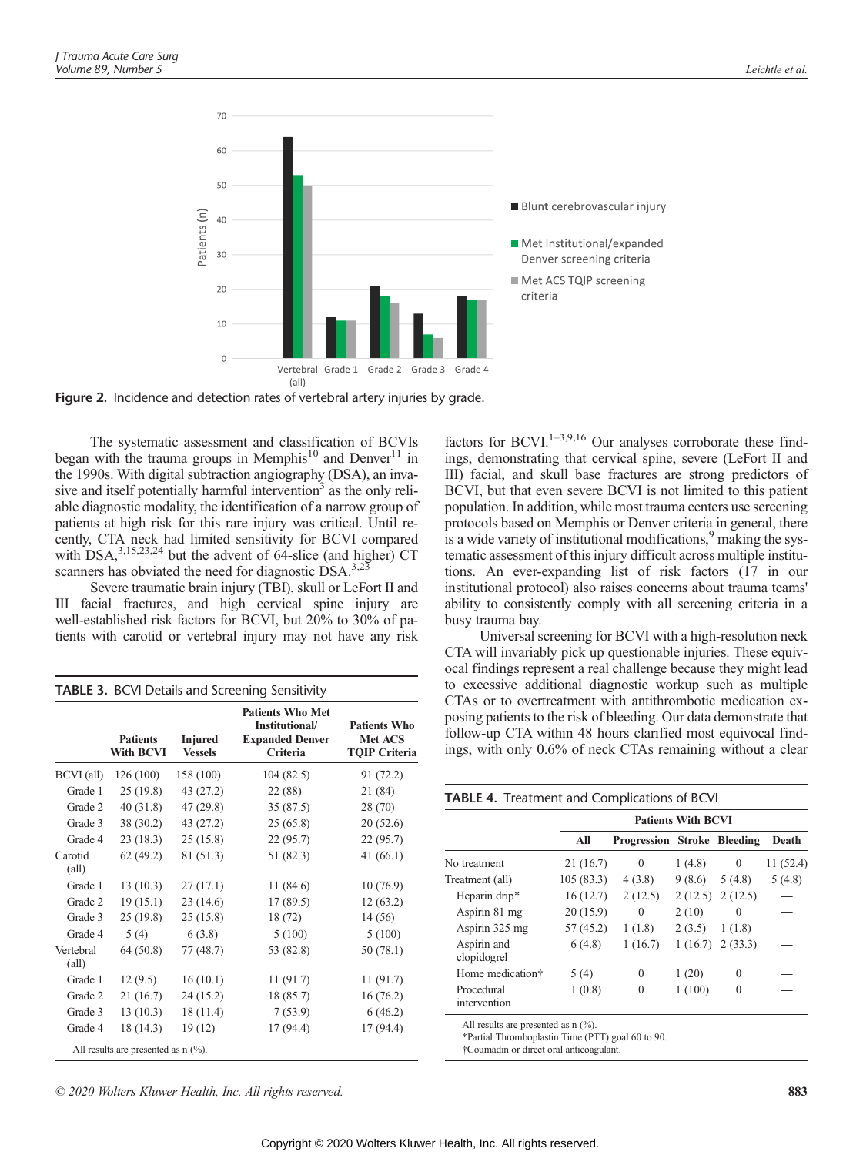

Figure 2. Incidence and detection rates of vertebral artery injuries by grade.

The systematic assessment and classification of BCVIs began with the trauma groups in Memphis<sup>10</sup> and Denver<sup>11</sup> in the 1990s. With digital subtraction angiography (DSA), an invasive and itself potentially harmful intervention<sup>3</sup> as the only reliable diagnostic modality, the identification of a narrow group of patients at high risk for this rare injury was critical. Until recently, CTA neck had limited sensitivity for BCVI compared with DSA,<sup>3,15,23,24</sup> but the advent of 64-slice (and higher) CT scanners has obviated the need for diagnostic  $DSA^{3,2}$ .

Severe traumatic brain injury (TBI), skull or LeFort II and III facial fractures, and high cervical spine injury are well-established risk factors for BCVI, but 20% to 30% of patients with carotid or vertebral injury may not have any risk

TABLE 3. BCVI Details and Screening Sensitivity

|                             | <b>Patients</b><br>With BCVI          | <b>Injured</b><br><b>Vessels</b> | <b>Patients Who Met</b><br>Institutional/<br><b>Expanded Denver</b><br>Criteria | <b>Patients Who</b><br>Met ACS<br><b>TQIP Criteria</b> |
|-----------------------------|---------------------------------------|----------------------------------|---------------------------------------------------------------------------------|--------------------------------------------------------|
| BCVI (all)                  | 126(100)                              | 158 (100)                        | 104 (82.5)                                                                      | 91 (72.2)                                              |
| Grade 1                     | 25(19.8)                              | 43 (27.2)                        | 22 (88)                                                                         | 21 (84)                                                |
| Grade 2                     | 40(31.8)                              | 47 (29.8)                        | 35(87.5)                                                                        | 28 (70)                                                |
| Grade 3                     | 38 (30.2)                             | 43 (27.2)                        | 25(65.8)                                                                        | 20(52.6)                                               |
| Grade 4                     | 23(18.3)                              | 25(15.8)                         | 22(95.7)                                                                        | 22 (95.7)                                              |
| Carotid<br>$\text{(all)}$   | 62(49.2)                              | 81 (51.3)                        | 51 (82.3)                                                                       | 41(66.1)                                               |
| Grade 1                     | 13(10.3)                              | 27(17.1)                         | 11(84.6)                                                                        | 10(76.9)                                               |
| Grade 2                     | 19(15.1)                              | 23(14.6)                         | 17(89.5)                                                                        | 12(63.2)                                               |
| Grade 3                     | 25(19.8)                              | 25(15.8)                         | 18 (72)                                                                         | 14 (56)                                                |
| Grade 4                     | 5(4)                                  | 6(3.8)                           | 5(100)                                                                          | 5(100)                                                 |
| Vertebral<br>$\text{(all)}$ | 64 (50.8)                             | 77 (48.7)                        | 53 (82.8)                                                                       | 50 (78.1)                                              |
| Grade 1                     | 12(9.5)                               | 16(10.1)                         | 11(91.7)                                                                        | 11(91.7)                                               |
| Grade 2                     | 21(16.7)                              | 24 (15.2)                        | 18 (85.7)                                                                       | 16(76.2)                                               |
| Grade 3                     | 13(10.3)                              | 18 (11.4)                        | 7(53.9)                                                                         | 6(46.2)                                                |
| Grade 4                     | 18 (14.3)                             | 19(12)                           | 17 (94.4)                                                                       | 17 (94.4)                                              |
|                             | All results are presented as $n$ (%). |                                  |                                                                                 |                                                        |

factors for BCVI.<sup>1–3,9,16</sup> Our analyses corroborate these findings, demonstrating that cervical spine, severe (LeFort II and III) facial, and skull base fractures are strong predictors of BCVI, but that even severe BCVI is not limited to this patient population. In addition, while most trauma centers use screening protocols based on Memphis or Denver criteria in general, there is a wide variety of institutional modifications,<sup>9</sup> making the systematic assessment of this injury difficult across multiple institutions. An ever-expanding list of risk factors (17 in our institutional protocol) also raises concerns about trauma teams' ability to consistently comply with all screening criteria in a busy trauma bay.

Universal screening for BCVI with a high-resolution neck CTA will invariably pick up questionable injuries. These equivocal findings represent a real challenge because they might lead to excessive additional diagnostic workup such as multiple CTAs or to overtreatment with antithrombotic medication exposing patients to the risk of bleeding. Our data demonstrate that follow-up CTA within 48 hours clarified most equivocal findings, with only 0.6% of neck CTAs remaining without a clear

| <b>TABLE 4.</b> Treatment and Complications of BCVI |           |                             |         |          |          |
|-----------------------------------------------------|-----------|-----------------------------|---------|----------|----------|
|                                                     |           | <b>Patients With BCVI</b>   |         |          |          |
|                                                     | All       | Progression Stroke Bleeding |         |          | Death    |
| No treatment                                        | 21(16.7)  | $\Omega$                    | 1(4.8)  | $\Omega$ | 11(52.4) |
| Treatment (all)                                     | 105(83.3) | 4(3.8)                      | 9(8.6)  | 5(4.8)   | 5(4.8)   |
| Heparin drip*                                       | 16(12.7)  | 2(12.5)                     | 2(12.5) | 2(12.5)  |          |
| Aspirin 81 mg                                       | 20(15.9)  | $\theta$                    | 2(10)   | $\Omega$ |          |
| Aspirin 325 mg                                      | 57(45.2)  | 1(1.8)                      | 2(3.5)  | 1(1.8)   |          |
| Aspirin and<br>clopidogrel                          | 6(4.8)    | 1(16.7)                     | 1(16.7) | 2(33.3)  |          |
| Home medication <sup>†</sup>                        | 5(4)      | $\theta$                    | 1(20)   | $\theta$ |          |
| Procedural<br>intervention                          | 1(0.8)    | $\theta$                    | 1(100)  | $\Omega$ |          |

All results are presented as n  $\left(\frac{9}{6}\right)$ .

\*Partial Thromboplastin Time (PTT) goal 60 to 90.

†Coumadin or direct oral anticoagulant.

© 2020 Wolters Kluwer Health, Inc. All rights reserved. 883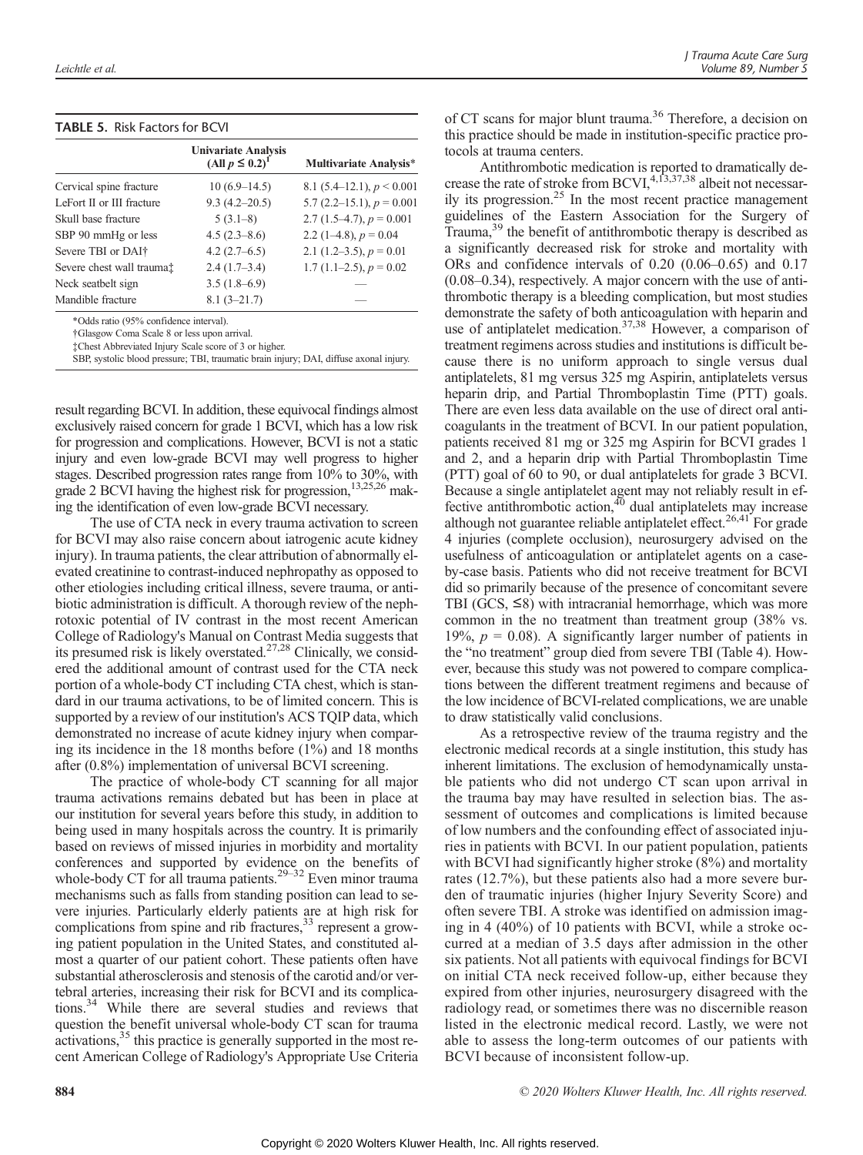| <b>TABLE 5. Risk Factors for BCVI</b> |  |
|---------------------------------------|--|
|                                       |  |

|                                     | <b>Univariate Analysis</b><br>(All $p \leq 0.2$ ) <sup>1</sup> | <b>Multivariate Analysis*</b>  |
|-------------------------------------|----------------------------------------------------------------|--------------------------------|
| Cervical spine fracture             | $10(6.9-14.5)$                                                 | 8.1 $(5.4-12.1)$ , $p < 0.001$ |
| LeFort II or III fracture           | $9.3(4.2 - 20.5)$                                              | 5.7 $(2.2-15.1)$ , $p = 0.001$ |
| Skull base fracture                 | $5(3.1-8)$                                                     | 2.7 $(1.5-4.7), p = 0.001$     |
| SBP 90 mmHg or less                 | $4.5(2.3-8.6)$                                                 | 2.2 $(1-4.8)$ , $p = 0.04$     |
| Severe TBI or DAI <sup>†</sup>      | $4.2(2.7-6.5)$                                                 | 2.1 $(1.2-3.5)$ , $p = 0.01$   |
| Severe chest wall trauma $\ddagger$ | $2.4(1.7-3.4)$                                                 | 1.7 $(1.1-2.5)$ , $p = 0.02$   |
| Neck seatbelt sign                  | $3.5(1.8-6.9)$                                                 |                                |
| Mandible fracture                   | $8.1(3 - 21.7)$                                                |                                |

\*Odds ratio (95% confidence interval).

†Glasgow Coma Scale 8 or less upon arrival. ‡Chest Abbreviated Injury Scale score of 3 or higher.

SBP, systolic blood pressure; TBI, traumatic brain injury; DAI, diffuse axonal injury.

result regarding BCVI. In addition, these equivocal findings almost exclusively raised concern for grade 1 BCVI, which has a low risk for progression and complications. However, BCVI is not a static injury and even low-grade BCVI may well progress to higher stages. Described progression rates range from 10% to 30%, with grade 2 BCVI having the highest risk for progression,<sup>13,25,26</sup> making the identification of even low-grade BCVI necessary.

The use of CTA neck in every trauma activation to screen for BCVI may also raise concern about iatrogenic acute kidney injury). In trauma patients, the clear attribution of abnormally elevated creatinine to contrast-induced nephropathy as opposed to other etiologies including critical illness, severe trauma, or antibiotic administration is difficult. A thorough review of the nephrotoxic potential of IV contrast in the most recent American College of Radiology's Manual on Contrast Media suggests that its presumed risk is likely overstated.27,28 Clinically, we considered the additional amount of contrast used for the CTA neck portion of a whole-body CT including CTA chest, which is standard in our trauma activations, to be of limited concern. This is supported by a review of our institution's ACS TQIP data, which demonstrated no increase of acute kidney injury when comparing its incidence in the 18 months before (1%) and 18 months after (0.8%) implementation of universal BCVI screening.

The practice of whole-body CT scanning for all major trauma activations remains debated but has been in place at our institution for several years before this study, in addition to being used in many hospitals across the country. It is primarily based on reviews of missed injuries in morbidity and mortality conferences and supported by evidence on the benefits of whole-body CT for all trauma patients.<sup>29–32</sup> Even minor trauma mechanisms such as falls from standing position can lead to severe injuries. Particularly elderly patients are at high risk for complications from spine and rib fractures,  $33$  represent a growing patient population in the United States, and constituted almost a quarter of our patient cohort. These patients often have substantial atherosclerosis and stenosis of the carotid and/or vertebral arteries, increasing their risk for BCVI and its complications.34 While there are several studies and reviews that question the benefit universal whole-body CT scan for trauma activations,<sup>35</sup> this practice is generally supported in the most recent American College of Radiology's Appropriate Use Criteria

of CT scans for major blunt trauma.<sup>36</sup> Therefore, a decision on this practice should be made in institution-specific practice protocols at trauma centers.

Antithrombotic medication is reported to dramatically decrease the rate of stroke from BCVI,<sup>4,13,37,38</sup> albeit not necessarily its progression.25 In the most recent practice management guidelines of the Eastern Association for the Surgery of Trauma,<sup>39</sup> the benefit of antithrombotic therapy is described as a significantly decreased risk for stroke and mortality with ORs and confidence intervals of 0.20 (0.06–0.65) and 0.17 (0.08–0.34), respectively. A major concern with the use of antithrombotic therapy is a bleeding complication, but most studies demonstrate the safety of both anticoagulation with heparin and use of antiplatelet medication.<sup>37,38</sup> However, a comparison of treatment regimens across studies and institutions is difficult because there is no uniform approach to single versus dual antiplatelets, 81 mg versus 325 mg Aspirin, antiplatelets versus heparin drip, and Partial Thromboplastin Time (PTT) goals. There are even less data available on the use of direct oral anticoagulants in the treatment of BCVI. In our patient population, patients received 81 mg or 325 mg Aspirin for BCVI grades 1 and 2, and a heparin drip with Partial Thromboplastin Time (PTT) goal of 60 to 90, or dual antiplatelets for grade 3 BCVI. Because a single antiplatelet agent may not reliably result in effective antithrombotic action, $40$  dual antiplatelets may increase although not guarantee reliable antiplatelet effect.<sup>26,41</sup> For grade 4 injuries (complete occlusion), neurosurgery advised on the usefulness of anticoagulation or antiplatelet agents on a caseby-case basis. Patients who did not receive treatment for BCVI did so primarily because of the presence of concomitant severe TBI (GCS,  $\leq$ 8) with intracranial hemorrhage, which was more common in the no treatment than treatment group (38% vs. 19%,  $p = 0.08$ ). A significantly larger number of patients in the "no treatment" group died from severe TBI (Table 4). However, because this study was not powered to compare complications between the different treatment regimens and because of the low incidence of BCVI-related complications, we are unable to draw statistically valid conclusions.

As a retrospective review of the trauma registry and the electronic medical records at a single institution, this study has inherent limitations. The exclusion of hemodynamically unstable patients who did not undergo CT scan upon arrival in the trauma bay may have resulted in selection bias. The assessment of outcomes and complications is limited because of low numbers and the confounding effect of associated injuries in patients with BCVI. In our patient population, patients with BCVI had significantly higher stroke (8%) and mortality rates (12.7%), but these patients also had a more severe burden of traumatic injuries (higher Injury Severity Score) and often severe TBI. A stroke was identified on admission imaging in 4 (40%) of 10 patients with BCVI, while a stroke occurred at a median of 3.5 days after admission in the other six patients. Not all patients with equivocal findings for BCVI on initial CTA neck received follow-up, either because they expired from other injuries, neurosurgery disagreed with the radiology read, or sometimes there was no discernible reason listed in the electronic medical record. Lastly, we were not able to assess the long-term outcomes of our patients with BCVI because of inconsistent follow-up.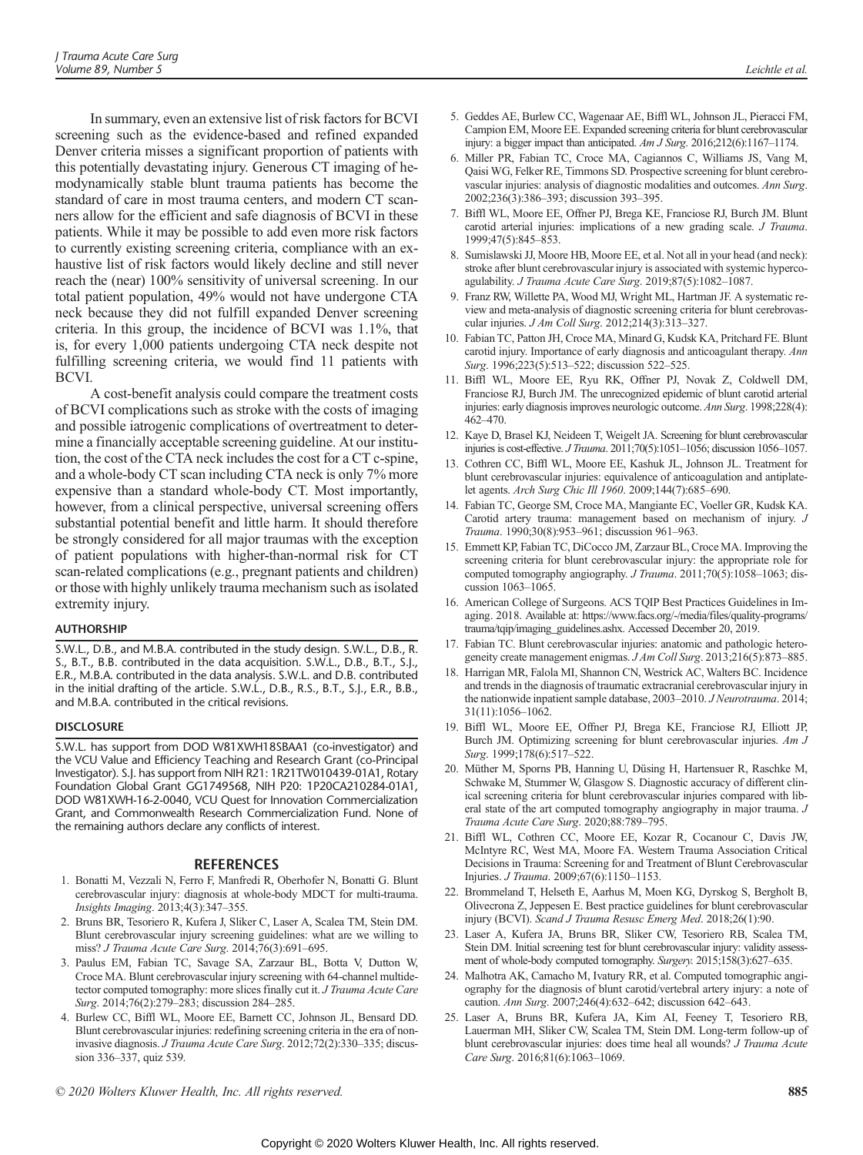In summary, even an extensive list of risk factors for BCVI screening such as the evidence-based and refined expanded Denver criteria misses a significant proportion of patients with this potentially devastating injury. Generous CT imaging of hemodynamically stable blunt trauma patients has become the standard of care in most trauma centers, and modern CT scanners allow for the efficient and safe diagnosis of BCVI in these patients. While it may be possible to add even more risk factors to currently existing screening criteria, compliance with an exhaustive list of risk factors would likely decline and still never reach the (near) 100% sensitivity of universal screening. In our total patient population, 49% would not have undergone CTA neck because they did not fulfill expanded Denver screening criteria. In this group, the incidence of BCVI was 1.1%, that is, for every 1,000 patients undergoing CTA neck despite not fulfilling screening criteria, we would find 11 patients with BCVI.

A cost-benefit analysis could compare the treatment costs of BCVI complications such as stroke with the costs of imaging and possible iatrogenic complications of overtreatment to determine a financially acceptable screening guideline. At our institution, the cost of the CTA neck includes the cost for a CT c-spine, and a whole-body CT scan including CTA neck is only 7% more expensive than a standard whole-body CT. Most importantly, however, from a clinical perspective, universal screening offers substantial potential benefit and little harm. It should therefore be strongly considered for all major traumas with the exception of patient populations with higher-than-normal risk for CT scan-related complications (e.g., pregnant patients and children) or those with highly unlikely trauma mechanism such as isolated extremity injury.

S.W.L., D.B., and M.B.A. contributed in the study design. S.W.L., D.B., R. S., B.T., B.B. contributed in the data acquisition. S.W.L., D.B., B.T., S.J., E.R., M.B.A. contributed in the data analysis. S.W.L. and D.B. contributed in the initial drafting of the article. S.W.L., D.B., R.S., B.T., S.J., E.R., B.B., and M.B.A. contributed in the critical revisions.

-----------<br>S.W.L. has support from DOD W81XWH18SBAA1 (co-investigator) and the VCU Value and Efficiency Teaching and Research Grant (co-Principal Investigator). S.J. has support from NIH R21: 1R21TW010439-01A1, Rotary Foundation Global Grant GG1749568, NIH P20: 1P20CA210284-01A1, DOD W81XWH-16-2-0040, VCU Quest for Innovation Commercialization Grant, and Commonwealth Research Commercialization Fund. None of the remaining authors declare any conflicts of interest.

- 1. Bonatti M, Vezzali N, Ferro F, Manfredi R, Oberhofer N, Bonatti G. Blunt cerebrovascular injury: diagnosis at whole-body MDCT for multi-trauma. Insights Imaging. 2013;4(3):347–355.
- 2. Bruns BR, Tesoriero R, Kufera J, Sliker C, Laser A, Scalea TM, Stein DM. Blunt cerebrovascular injury screening guidelines: what are we willing to miss? J Trauma Acute Care Surg. 2014;76(3):691–695.
- 3. Paulus EM, Fabian TC, Savage SA, Zarzaur BL, Botta V, Dutton W, Croce MA. Blunt cerebrovascular injury screening with 64-channel multidetector computed tomography: more slices finally cut it. J Trauma Acute Care Surg. 2014;76(2):279–283; discussion 284–285.
- 4. Burlew CC, Biffl WL, Moore EE, Barnett CC, Johnson JL, Bensard DD. Blunt cerebrovascular injuries: redefining screening criteria in the era of noninvasive diagnosis. J Trauma Acute Care Surg. 2012;72(2):330–335; discussion 336–337, quiz 539.
- 5. Geddes AE, Burlew CC, Wagenaar AE, Biffl WL, Johnson JL, Pieracci FM, Campion EM, Moore EE. Expanded screening criteria for blunt cerebrovascular injury: a bigger impact than anticipated. Am J Surg. 2016;212(6):1167–1174.
- 6. Miller PR, Fabian TC, Croce MA, Cagiannos C, Williams JS, Vang M, Qaisi WG, Felker RE, Timmons SD. Prospective screening for blunt cerebrovascular injuries: analysis of diagnostic modalities and outcomes. Ann Surg. 2002;236(3):386–393; discussion 393–395.
- 7. Biffl WL, Moore EE, Offner PJ, Brega KE, Franciose RJ, Burch JM. Blunt carotid arterial injuries: implications of a new grading scale. J Trauma. 1999;47(5):845–853.
- 8. Sumislawski JJ, Moore HB, Moore EE, et al. Not all in your head (and neck): stroke after blunt cerebrovascular injury is associated with systemic hypercoagulability. J Trauma Acute Care Surg. 2019;87(5):1082–1087.
- 9. Franz RW, Willette PA, Wood MJ, Wright ML, Hartman JF. A systematic review and meta-analysis of diagnostic screening criteria for blunt cerebrovascular injuries. J Am Coll Surg. 2012;214(3):313–327.
- 10. Fabian TC, Patton JH, Croce MA, Minard G, Kudsk KA, Pritchard FE. Blunt carotid injury. Importance of early diagnosis and anticoagulant therapy. Ann Surg. 1996;223(5):513–522; discussion 522–525.
- 11. Biffl WL, Moore EE, Ryu RK, Offner PJ, Novak Z, Coldwell DM, Franciose RJ, Burch JM. The unrecognized epidemic of blunt carotid arterial injuries: early diagnosis improves neurologic outcome. Ann Surg. 1998;228(4): 462–470.
- 12. Kaye D, Brasel KJ, Neideen T, Weigelt JA. Screening for blunt cerebrovascular injuries is cost-effective. J Trauma. 2011;70(5):1051–1056; discussion 1056–1057.
- 13. Cothren CC, Biffl WL, Moore EE, Kashuk JL, Johnson JL. Treatment for blunt cerebrovascular injuries: equivalence of anticoagulation and antiplatelet agents. Arch Surg Chic Ill 1960. 2009;144(7):685–690.
- 14. Fabian TC, George SM, Croce MA, Mangiante EC, Voeller GR, Kudsk KA. Carotid artery trauma: management based on mechanism of injury. J Trauma. 1990;30(8):953–961; discussion 961–963.
- 15. Emmett KP, Fabian TC, DiCocco JM, Zarzaur BL, Croce MA. Improving the screening criteria for blunt cerebrovascular injury: the appropriate role for computed tomography angiography. J Trauma. 2011;70(5):1058-1063; discussion 1063–1065.
- 16. American College of Surgeons. ACS TQIP Best Practices Guidelines in Imaging. 2018. Available at: https://www.facs.org/-/media/files/quality-programs/ trauma/tqip/imaging\_guidelines.ashx. Accessed December 20, 2019.
- 17. Fabian TC. Blunt cerebrovascular injuries: anatomic and pathologic heterogeneity create management enigmas. J Am Coll Surg. 2013;216(5):873–885.
- 18. Harrigan MR, Falola MI, Shannon CN, Westrick AC, Walters BC. Incidence and trends in the diagnosis of traumatic extracranial cerebrovascular injury in the nationwide inpatient sample database, 2003-2010. J Neurotrauma. 2014; 31(11):1056–1062.
- 19. Biffl WL, Moore EE, Offner PJ, Brega KE, Franciose RJ, Elliott JP, Burch JM. Optimizing screening for blunt cerebrovascular injuries. Am J Surg. 1999;178(6):517–522.
- 20. Müther M, Sporns PB, Hanning U, Düsing H, Hartensuer R, Raschke M, Schwake M, Stummer W, Glasgow S. Diagnostic accuracy of different clinical screening criteria for blunt cerebrovascular injuries compared with liberal state of the art computed tomography angiography in major trauma. J Trauma Acute Care Surg. 2020;88:789–795.
- 21. Biffl WL, Cothren CC, Moore EE, Kozar R, Cocanour C, Davis JW, McIntyre RC, West MA, Moore FA. Western Trauma Association Critical Decisions in Trauma: Screening for and Treatment of Blunt Cerebrovascular Injuries. J Trauma. 2009;67(6):1150–1153.
- 22. Brommeland T, Helseth E, Aarhus M, Moen KG, Dyrskog S, Bergholt B, Olivecrona Z, Jeppesen E. Best practice guidelines for blunt cerebrovascular injury (BCVI). Scand J Trauma Resusc Emerg Med. 2018;26(1):90.
- 23. Laser A, Kufera JA, Bruns BR, Sliker CW, Tesoriero RB, Scalea TM, Stein DM. Initial screening test for blunt cerebrovascular injury: validity assessment of whole-body computed tomography. Surgery. 2015;158(3):627–635.
- 24. Malhotra AK, Camacho M, Ivatury RR, et al. Computed tomographic angiography for the diagnosis of blunt carotid/vertebral artery injury: a note of caution. Ann Surg. 2007;246(4):632–642; discussion 642–643.
- 25. Laser A, Bruns BR, Kufera JA, Kim AI, Feeney T, Tesoriero RB, Lauerman MH, Sliker CW, Scalea TM, Stein DM. Long-term follow-up of blunt cerebrovascular injuries: does time heal all wounds? J Trauma Acute Care Surg. 2016;81(6):1063–1069.

© 2020 Wolters Kluwer Health, Inc. All rights reserved. 885